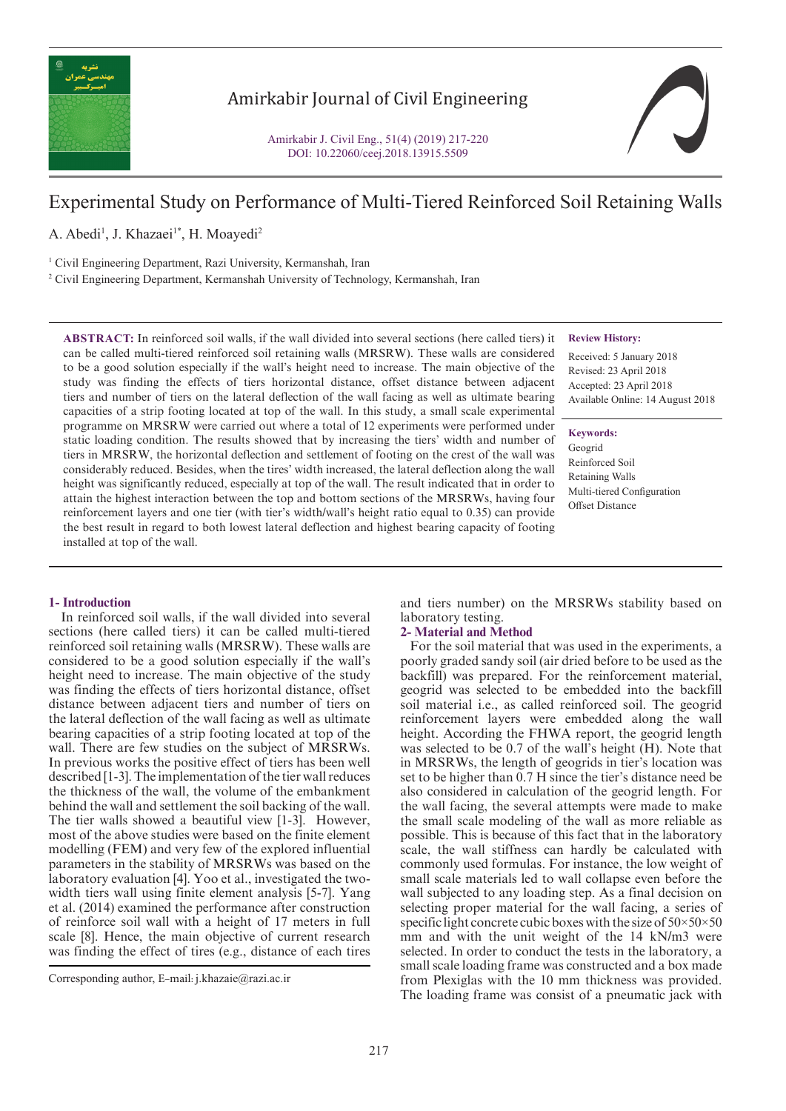

# Amirkabir Journal of Civil Engineering

Amirkabir J. Civil Eng., 51(4) (2019) 217-220 DOI: 10.22060/ceej.2018.13915.5509



# Experimental Study on Performance of Multi-Tiered Reinforced Soil Retaining Walls

A. Abedi<sup>1</sup>, J. Khazaei<sup>1\*</sup>, H. Moayedi<sup>2</sup>

<sup>1</sup> Civil Engineering Department, Razi University, Kermanshah, Iran

2 Civil Engineering Department, Kermanshah University of Technology, Kermanshah, Iran

**ABSTRACT:** In reinforced soil walls, if the wall divided into several sections (here called tiers) it can be called multi-tiered reinforced soil retaining walls (MRSRW). These walls are considered to be a good solution especially if the wall's height need to increase. The main objective of the study was finding the effects of tiers horizontal distance, offset distance between adjacent tiers and number of tiers on the lateral deflection of the wall facing as well as ultimate bearing capacities of a strip footing located at top of the wall. In this study, a small scale experimental programme on MRSRW were carried out where a total of 12 experiments were performed under static loading condition. The results showed that by increasing the tiers' width and number of tiers in MRSRW, the horizontal deflection and settlement of footing on the crest of the wall was considerably reduced. Besides, when the tires' width increased, the lateral deflection along the wall height was significantly reduced, especially at top of the wall. The result indicated that in order to attain the highest interaction between the top and bottom sections of the MRSRWs, having four reinforcement layers and one tier (with tier's width/wall's height ratio equal to 0.35) can provide the best result in regard to both lowest lateral deflection and highest bearing capacity of footing installed at top of the wall.

## **Review History:**

Received: 5 January 2018 Revised: 23 April 2018 Accepted: 23 April 2018 Available Online: 14 August 2018

**Keywords:**

Geogrid Reinforced Soil Retaining Walls Multi-tiered Configuration Offset Distance

### **1- Introduction**

 In reinforced soil walls, if the wall divided into several sections (here called tiers) it can be called multi-tiered reinforced soil retaining walls (MRSRW). These walls are considered to be a good solution especially if the wall's height need to increase. The main objective of the study was finding the effects of tiers horizontal distance, offset distance between adjacent tiers and number of tiers on the lateral deflection of the wall facing as well as ultimate bearing capacities of a strip footing located at top of the wall. There are few studies on the subject of MRSRWs. In previous works the positive effect of tiers has been well described [1-3]. The implementation of the tier wall reduces the thickness of the wall, the volume of the embankment behind the wall and settlement the soil backing of the wall. The tier walls showed a beautiful view [1-3]. However, most of the above studies were based on the finite element modelling (FEM) and very few of the explored influential parameters in the stability of MRSRWs was based on the laboratory evaluation [4]. Yoo et al., investigated the twowidth tiers wall using finite element analysis [5-7]. Yang et al. (2014) examined the performance after construction of reinforce soil wall with a height of 17 meters in full scale [8]. Hence, the main objective of current research was finding the effect of tires (e.g., distance of each tires

and tiers number) on the MRSRWs stability based on laboratory testing.

## **2- Material and Method**

 For the soil material that was used in the experiments, a poorly graded sandy soil (air dried before to be used as the backfill) was prepared. For the reinforcement material, geogrid was selected to be embedded into the backfill soil material i.e., as called reinforced soil. The geogrid reinforcement layers were embedded along the wall height. According the FHWA report, the geogrid length was selected to be 0.7 of the wall's height (H). Note that in MRSRWs, the length of geogrids in tier's location was set to be higher than 0.7 H since the tier's distance need be also considered in calculation of the geogrid length. For the wall facing, the several attempts were made to make the small scale modeling of the wall as more reliable as possible. This is because of this fact that in the laboratory scale, the wall stiffness can hardly be calculated with commonly used formulas. For instance, the low weight of small scale materials led to wall collapse even before the wall subjected to any loading step. As a final decision on selecting proper material for the wall facing, a series of specific light concrete cubic boxes with the size of  $50 \times 50 \times 50$ mm and with the unit weight of the 14 kN/m3 were selected. In order to conduct the tests in the laboratory, a small scale loading frame was constructed and a box made from Plexiglas with the 10 mm thickness was provided. The loading frame was consist of a pneumatic jack with

Corresponding author, E-mail: j.khazaie@razi.ac.ir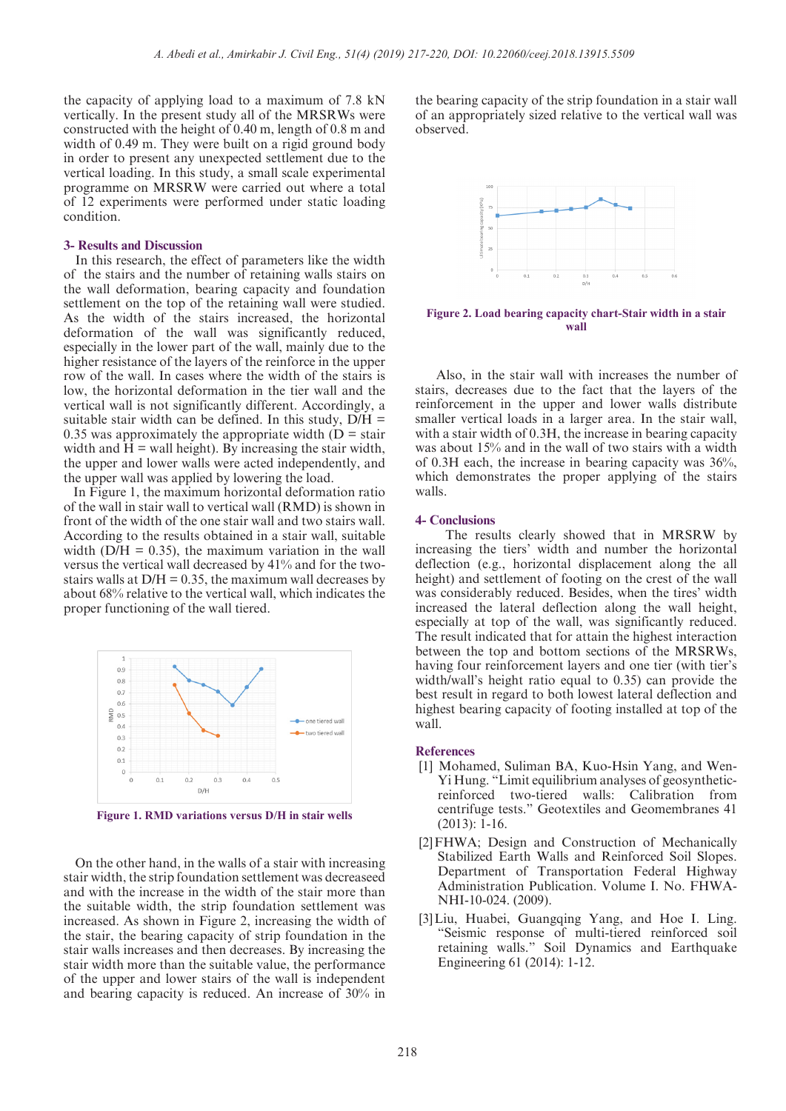the capacity of applying load to a maximum of 7.8 kN vertically. In the present study all of the MRSRWs were constructed with the height of 0.40 m, length of 0.8 m and width of 0.49 m. They were built on a rigid ground body in order to present any unexpected settlement due to the vertical loading. In this study, a small scale experimental programme on MRSRW were carried out where a total of 12 experiments were performed under static loading condition.

#### **3- Results and Discussion**

 In this research, the effect of parameters like the width of the stairs and the number of retaining walls stairs on the wall deformation, bearing capacity and foundation settlement on the top of the retaining wall were studied. As the width of the stairs increased, the horizontal deformation of the wall was significantly reduced, especially in the lower part of the wall, mainly due to the higher resistance of the layers of the reinforce in the upper row of the wall. In cases where the width of the stairs is low, the horizontal deformation in the tier wall and the vertical wall is not significantly different. Accordingly, a suitable stair width can be defined. In this study,  $D/H =$ 0.35 was approximately the appropriate width  $(D = \text{stair})$ width and  $\hat{H}$  = wall height). By increasing the stair width, the upper and lower walls were acted independently, and the upper wall was applied by lowering the load.

 In Figure 1, the maximum horizontal deformation ratio of the wall in stair wall to vertical wall (RMD) is shown in front of the width of the one stair wall and two stairs wall. According to the results obtained in a stair wall, suitable width ( $D/H = 0.35$ ), the maximum variation in the wall versus the vertical wall decreased by 41% and for the twostairs walls at  $D/H = 0.35$ , the maximum wall decreases by about 68% relative to the vertical wall, which indicates the proper functioning of the wall tiered.



**Figure 1. RMD variations versus D/H in stair wells**

 On the other hand, in the walls of a stair with increasing stair width, the strip foundation settlement was decreaseed and with the increase in the width of the stair more than the suitable width, the strip foundation settlement was increased. As shown in Figure 2, increasing the width of the stair, the bearing capacity of strip foundation in the stair walls increases and then decreases. By increasing the stair width more than the suitable value, the performance of the upper and lower stairs of the wall is independent and bearing capacity is reduced. An increase of 30% in

the bearing capacity of the strip foundation in a stair wall of an appropriately sized relative to the vertical wall was observed.



**Figure 2. Load bearing capacity chart-Stair width in a stair wall**

 Also, in the stair wall with increases the number of stairs, decreases due to the fact that the layers of the reinforcement in the upper and lower walls distribute smaller vertical loads in a larger area. In the stair wall, with a stair width of 0.3H, the increase in bearing capacity was about 15% and in the wall of two stairs with a width of 0.3H each, the increase in bearing capacity was 36%, which demonstrates the proper applying of the stairs walls.

#### **4- Conclusions**

 The results clearly showed that in MRSRW by increasing the tiers' width and number the horizontal deflection (e.g., horizontal displacement along the all height) and settlement of footing on the crest of the wall was considerably reduced. Besides, when the tires' width increased the lateral deflection along the wall height, especially at top of the wall, was significantly reduced. The result indicated that for attain the highest interaction between the top and bottom sections of the MRSRWs, having four reinforcement layers and one tier (with tier's width/wall's height ratio equal to 0.35) can provide the best result in regard to both lowest lateral deflection and highest bearing capacity of footing installed at top of the wall.

#### **References**

- [1] Mohamed, Suliman BA, Kuo-Hsin Yang, and Wen-Yi Hung. "Limit equilibrium analyses of geosyntheticreinforced two-tiered walls: Calibration from centrifuge tests." Geotextiles and Geomembranes 41 (2013): 1-16.
- [2]FHWA; Design and Construction of Mechanically Stabilized Earth Walls and Reinforced Soil Slopes. Department of Transportation Federal Highway Administration Publication. Volume I. No. FHWA-NHI-10-024. (2009).
- [3]Liu, Huabei, Guangqing Yang, and Hoe I. Ling. "Seismic response of multi-tiered reinforced soil retaining walls." Soil Dynamics and Earthquake Engineering 61 (2014): 1-12.